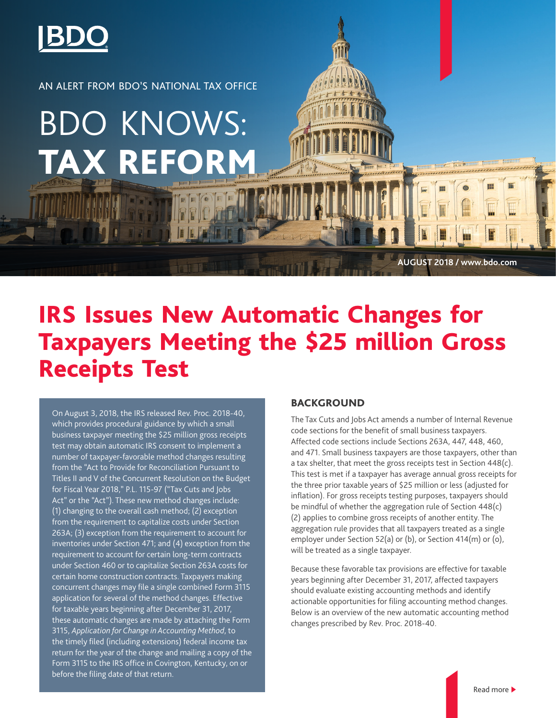

AN ALERT FROM BDO'S NATIONAL TAX OFFICE

# BDO KNOWS: **TAX REFORM**

IRS Issues New Automatic Changes for Taxpayers Meeting the \$25 million Gross Receipts Test

On August 3, 2018, the IRS released Rev. Proc. 2018-40, which provides procedural guidance by which a small business taxpayer meeting the \$25 million gross receipts test may obtain automatic IRS consent to implement a number of taxpayer-favorable method changes resulting from the "Act to Provide for Reconciliation Pursuant to Titles II and V of the Concurrent Resolution on the Budget for Fiscal Year 2018," P.L. 115-97 ("Tax Cuts and Jobs Act" or the "Act"). These new method changes include: (1) changing to the overall cash method; (2) exception from the requirement to capitalize costs under Section 263A; (3) exception from the requirement to account for inventories under Section 471; and (4) exception from the requirement to account for certain long-term contracts under Section 460 or to capitalize Section 263A costs for certain home construction contracts. Taxpayers making concurrent changes may file a single combined Form 3115 application for several of the method changes. Effective for taxable years beginning after December 31, 2017, these automatic changes are made by attaching the Form 3115, *Application for Change in Accounting Method*, to the timely filed (including extensions) federal income tax return for the year of the change and mailing a copy of the Form 3115 to the IRS office in Covington, Kentucky, on or before the filing date of that return.

# BACKGROUND

The Tax Cuts and Jobs Act amends a number of Internal Revenue code sections for the benefit of small business taxpayers. Affected code sections include Sections 263A, 447, 448, 460, and 471. Small business taxpayers are those taxpayers, other than a tax shelter, that meet the gross receipts test in Section 448(c). This test is met if a taxpayer has average annual gross receipts for the three prior taxable years of \$25 million or less (adjusted for inflation). For gross receipts testing purposes, taxpayers should be mindful of whether the aggregation rule of Section 448(c) (2) applies to combine gross receipts of another entity. The aggregation rule provides that all taxpayers treated as a single employer under Section 52(a) or (b), or Section 414(m) or (o), will be treated as a single taxpayer.

**AUGUST 2018 / www.bdo.com**

Because these favorable tax provisions are effective for taxable years beginning after December 31, 2017, affected taxpayers should evaluate existing accounting methods and identify actionable opportunities for filing accounting method changes. Below is an overview of the new automatic accounting method changes prescribed by Rev. Proc. 2018-40.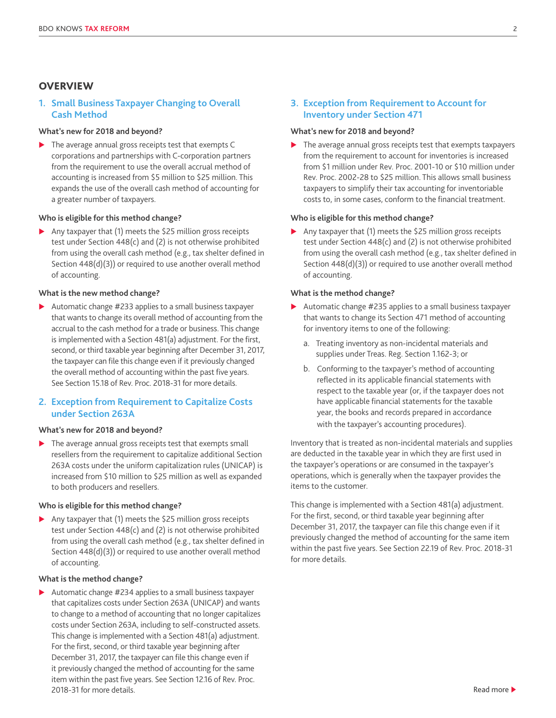# **OVERVIEW**

# **1. Small Business Taxpayer Changing to Overall Cash Method**

# **What's new for 2018 and beyond?**

 $\blacktriangleright$  The average annual gross receipts test that exempts C corporations and partnerships with C-corporation partners from the requirement to use the overall accrual method of accounting is increased from \$5 million to \$25 million. This expands the use of the overall cash method of accounting for a greater number of taxpayers.

# **Who is eligible for this method change?**

Any taxpayer that  $(1)$  meets the \$25 million gross receipts test under Section 448(c) and (2) is not otherwise prohibited from using the overall cash method (e.g., tax shelter defined in Section 448(d)(3)) or required to use another overall method of accounting.

## **What is the new method change?**

 $\blacktriangleright$  Automatic change #233 applies to a small business taxpayer that wants to change its overall method of accounting from the accrual to the cash method for a trade or business. This change is implemented with a Section 481(a) adjustment. For the first, second, or third taxable year beginning after December 31, 2017, the taxpayer can file this change even if it previously changed the overall method of accounting within the past five years. See Section 15.18 of Rev. Proc. 2018-31 for more details.

# **2. Exception from Requirement to Capitalize Costs under Section 263A**

## **What's new for 2018 and beyond?**

 $\blacktriangleright$  The average annual gross receipts test that exempts small resellers from the requirement to capitalize additional Section 263A costs under the uniform capitalization rules (UNICAP) is increased from \$10 million to \$25 million as well as expanded to both producers and resellers.

#### **Who is eligible for this method change?**

Any taxpayer that  $(1)$  meets the \$25 million gross receipts test under Section 448(c) and (2) is not otherwise prohibited from using the overall cash method (e.g., tax shelter defined in Section 448(d)(3)) or required to use another overall method of accounting.

## **What is the method change?**

 $\blacktriangleright$  Automatic change #234 applies to a small business taxpayer that capitalizes costs under Section 263A (UNICAP) and wants to change to a method of accounting that no longer capitalizes costs under Section 263A, including to self-constructed assets. This change is implemented with a Section 481(a) adjustment. For the first, second, or third taxable year beginning after December 31, 2017, the taxpayer can file this change even if it previously changed the method of accounting for the same item within the past five years. See Section 12.16 of Rev. Proc. 2018-31 for more details.

# **3. Exception from Requirement to Account for Inventory under Section 471**

# **What's new for 2018 and beyond?**

 $\blacktriangleright$  The average annual gross receipts test that exempts taxpayers from the requirement to account for inventories is increased from \$1 million under Rev. Proc. 2001-10 or \$10 million under Rev. Proc. 2002-28 to \$25 million. This allows small business taxpayers to simplify their tax accounting for inventoriable costs to, in some cases, conform to the financial treatment.

#### **Who is eligible for this method change?**

Any taxpayer that (1) meets the \$25 million gross receipts test under Section 448(c) and (2) is not otherwise prohibited from using the overall cash method (e.g., tax shelter defined in Section 448(d)(3)) or required to use another overall method of accounting.

## **What is the method change?**

- $\blacktriangleright$  Automatic change #235 applies to a small business taxpayer that wants to change its Section 471 method of accounting for inventory items to one of the following:
	- a. Treating inventory as non-incidental materials and supplies under Treas. Reg. Section 1.162-3; or
	- b. Conforming to the taxpayer's method of accounting reflected in its applicable financial statements with respect to the taxable year (or, if the taxpayer does not have applicable financial statements for the taxable year, the books and records prepared in accordance with the taxpayer's accounting procedures).

Inventory that is treated as non-incidental materials and supplies are deducted in the taxable year in which they are first used in the taxpayer's operations or are consumed in the taxpayer's operations, which is generally when the taxpayer provides the items to the customer.

This change is implemented with a Section 481(a) adjustment. For the first, second, or third taxable year beginning after December 31, 2017, the taxpayer can file this change even if it previously changed the method of accounting for the same item within the past five years. See Section 22.19 of Rev. Proc. 2018-31 for more details.